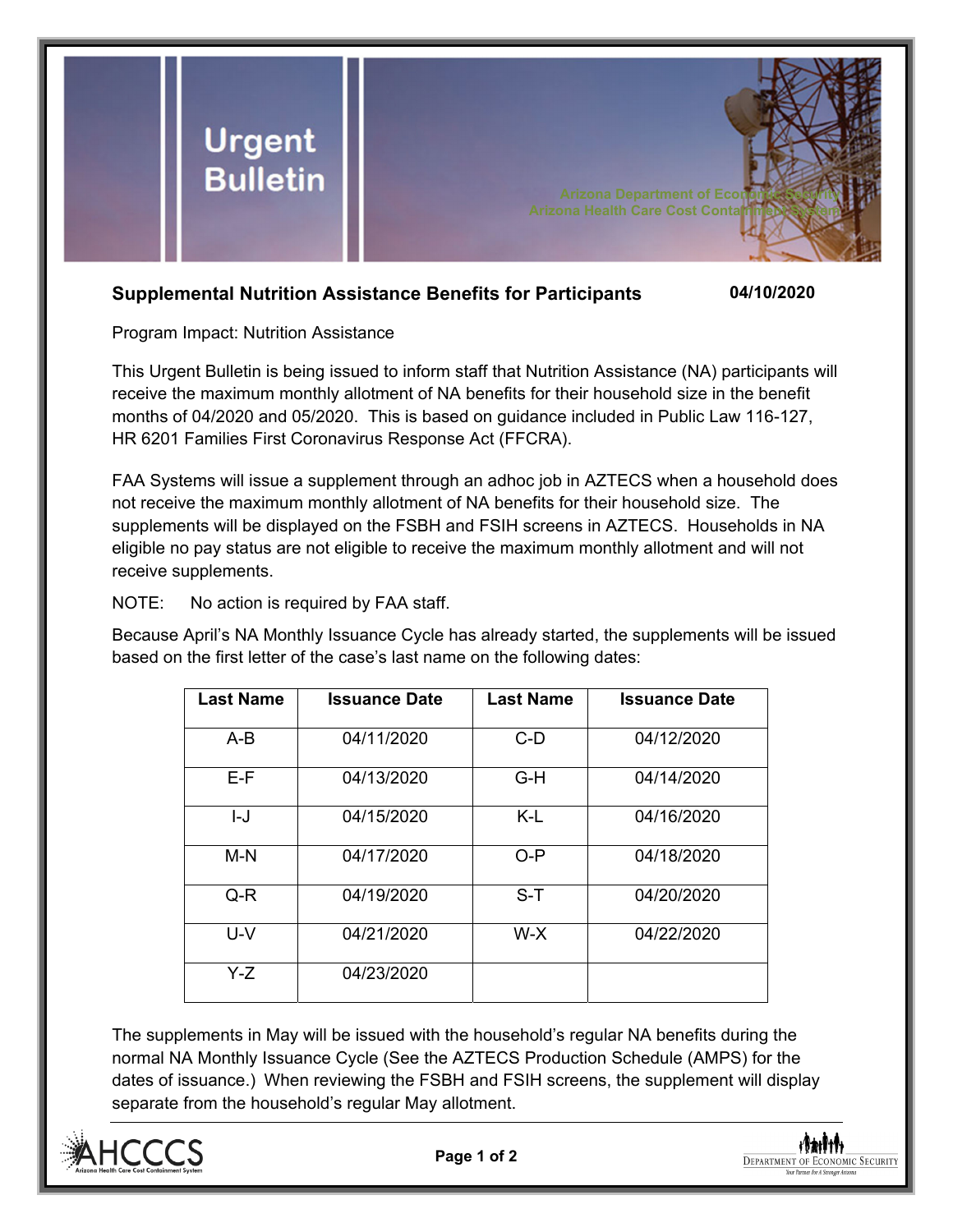

## **Supplemental Nutrition Assistance Benefits for Participants 04/10/2020**

Program Impact: Nutrition Assistance

This Urgent Bulletin is being issued to inform staff that Nutrition Assistance (NA) participants will receive the maximum monthly allotment of NA benefits for their household size in the benefit months of 04/2020 and 05/2020. This is based on guidance included in Public Law 116-127, HR 6201 Families First Coronavirus Response Act (FFCRA).

FAA Systems will issue a supplement through an adhoc job in AZTECS when a household does not receive the maximum monthly allotment of NA benefits for their household size. The supplements will be displayed on the FSBH and FSIH screens in AZTECS. Households in NA eligible no pay status are not eligible to receive the maximum monthly allotment and will not receive supplements.

NOTE: No action is required by FAA staff.

Because April's NA Monthly Issuance Cycle has already started, the supplements will be issued based on the first letter of the case's last name on the following dates:

| <b>Last Name</b> | <b>Issuance Date</b> | <b>Last Name</b> | <b>Issuance Date</b> |
|------------------|----------------------|------------------|----------------------|
| $A-B$            | 04/11/2020           | $C-D$            | 04/12/2020           |
| E-F              | 04/13/2020           | G-H              | 04/14/2020           |
| I-J              | 04/15/2020           | K-L              | 04/16/2020           |
| M-N              | 04/17/2020           | $O-P$            | 04/18/2020           |
| Q-R              | 04/19/2020           | $S-T$            | 04/20/2020           |
| U-V              | 04/21/2020           | W-X              | 04/22/2020           |
| Y-Z              | 04/23/2020           |                  |                      |

The supplements in May will be issued with the household's regular NA benefits during the normal NA Monthly Issuance Cycle (See the AZTECS Production Schedule (AMPS) for the dates of issuance.) When reviewing the FSBH and FSIH screens, the supplement will display separate from the household's regular May allotment.